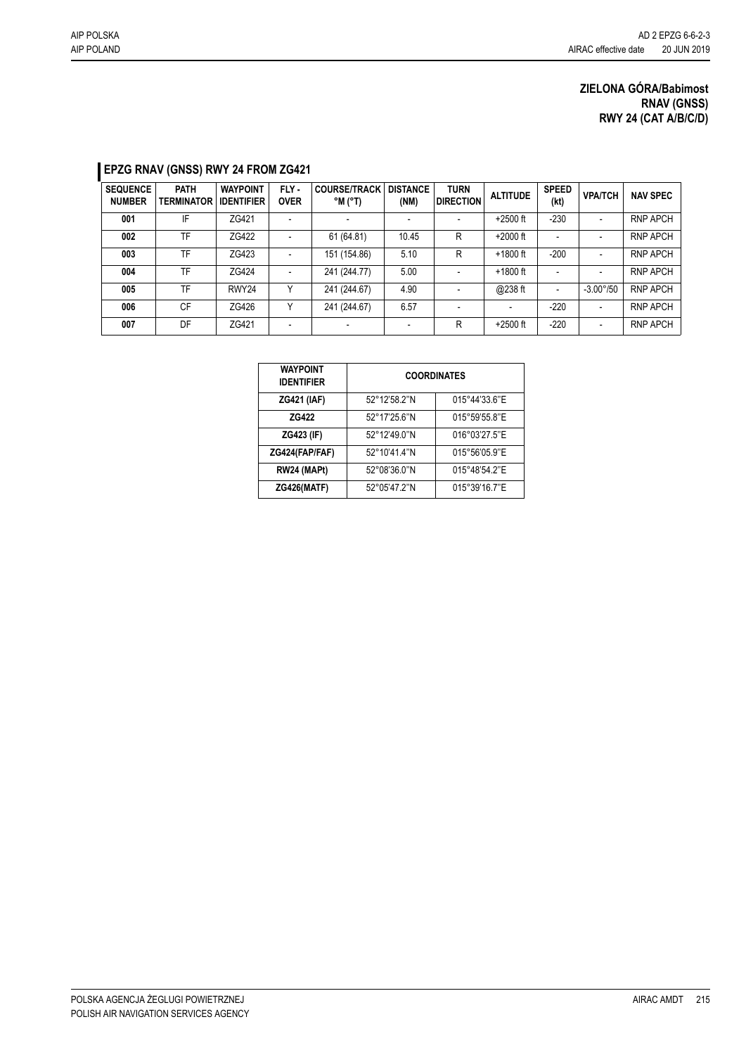## **EPZG RNAV (GNSS) RWY 24 FROM ZG421**

| <b>SEQUENCE</b><br><b>NUMBER</b> | <b>PATH</b><br><b>TERMINATOR</b> | <b>WAYPOINT</b><br><b>IDENTIFIER</b> | FLY -<br><b>OVER</b>     | <b>COURSE/TRACK</b><br>$^{\circ}$ M ( $^{\circ}$ T) | <b>DISTANCE</b><br>(NM) | <b>TURN</b><br><b>DIRECTION</b> | <b>ALTITUDE</b> | <b>SPEED</b><br>(kt) | <b>VPA/TCH</b>           | <b>NAV SPEC</b> |
|----------------------------------|----------------------------------|--------------------------------------|--------------------------|-----------------------------------------------------|-------------------------|---------------------------------|-----------------|----------------------|--------------------------|-----------------|
| 001                              | IF                               | ZG421                                | $\overline{\phantom{0}}$ |                                                     |                         | $\overline{\phantom{a}}$        | $+2500$ ft      | $-230$               | $\overline{\phantom{a}}$ | <b>RNP APCH</b> |
| 002                              | TF                               | ZG422                                | $\overline{\phantom{a}}$ | 61 (64.81)                                          | 10.45                   | R                               | $+2000$ ft      |                      |                          | <b>RNP APCH</b> |
| 003                              | TF                               | ZG423                                | $\blacksquare$           | 151 (154.86)                                        | 5.10                    | R                               | $+1800$ ft      | $-200$               | $\overline{\phantom{a}}$ | <b>RNP APCH</b> |
| 004                              | TF                               | ZG424                                | $\overline{\phantom{0}}$ | 241 (244.77)                                        | 5.00                    |                                 | $+1800$ ft      |                      |                          | <b>RNP APCH</b> |
| 005                              | TF                               | RWY24                                | $\checkmark$             | 241 (244.67)                                        | 4.90                    |                                 | @238 ft         |                      | $-3.00^{\circ}/50$       | <b>RNP APCH</b> |
| 006                              | CF                               | ZG426                                | ٧                        | 241 (244.67)                                        | 6.57                    |                                 |                 | $-220$               | $\overline{\phantom{a}}$ | <b>RNP APCH</b> |
| 007                              | DF                               | ZG421                                | $\overline{\phantom{a}}$ |                                                     |                         | R                               | $+2500$ ft      | $-220$               | $\overline{\phantom{a}}$ | <b>RNP APCH</b> |

| <b>WAYPOINT</b><br><b>IDENTIFIER</b> | <b>COORDINATES</b> |               |  |  |  |  |
|--------------------------------------|--------------------|---------------|--|--|--|--|
| <b>ZG421 (IAF)</b>                   | 52°12'58.2"N       | 015°44'33.6"E |  |  |  |  |
| ZG422                                | 52°17'25.6"N       | 015°59'55.8"E |  |  |  |  |
| ZG423 (IF)                           | 52°12'49.0"N       | 016°03'27.5"E |  |  |  |  |
| ZG424(FAP/FAF)                       | 52°10'41.4"N       | 015°56'05.9"E |  |  |  |  |
| RW24 (MAPt)                          | 52°08'36.0"N       | 015°48'54.2"E |  |  |  |  |
| <b>ZG426(MATF)</b>                   | 52°05'47.2"N       | 015°39'16.7"E |  |  |  |  |